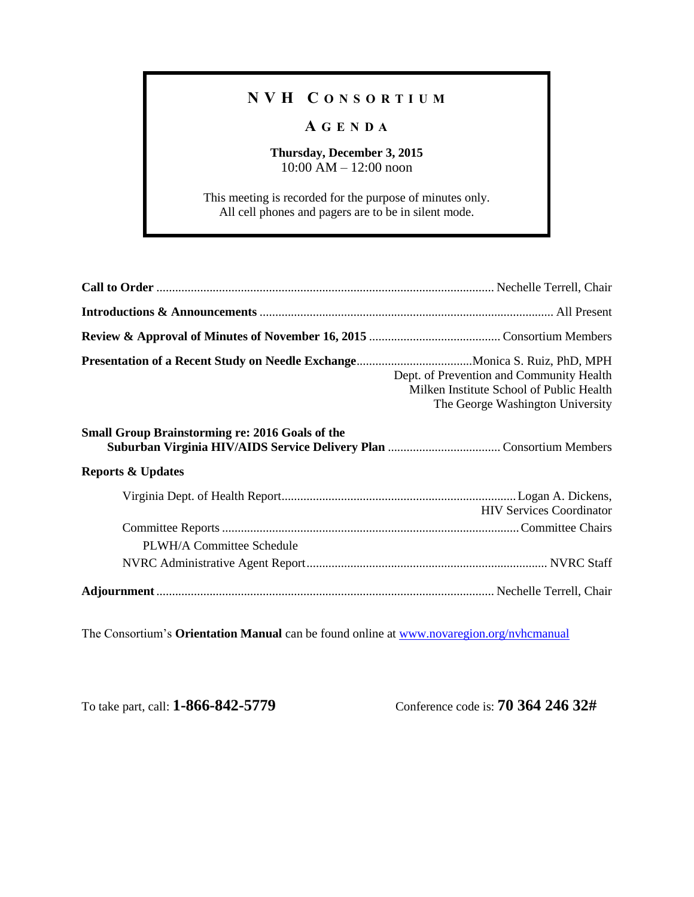## **N V H C O N S O R T I U M**

## **A G E N D A**

## **Thursday, December 3, 2015** 10:00 AM – 12:00 noon

This meeting is recorded for the purpose of minutes only. All cell phones and pagers are to be in silent mode.

|                                                        | Dept. of Prevention and Community Health<br>Milken Institute School of Public Health<br>The George Washington University |
|--------------------------------------------------------|--------------------------------------------------------------------------------------------------------------------------|
| <b>Small Group Brainstorming re: 2016 Goals of the</b> |                                                                                                                          |
| <b>Reports &amp; Updates</b>                           |                                                                                                                          |
|                                                        | <b>HIV Services Coordinator</b>                                                                                          |
| PLWH/A Committee Schedule                              |                                                                                                                          |
|                                                        |                                                                                                                          |
|                                                        |                                                                                                                          |

The Consortium's **Orientation Manual** can be found online at [www.novaregion.org/nvhcmanual](http://www.novaregion.org/nvhcmanual)

To take part, call: **1-866-842-5779** Conference code is: **70 364 246 32#**